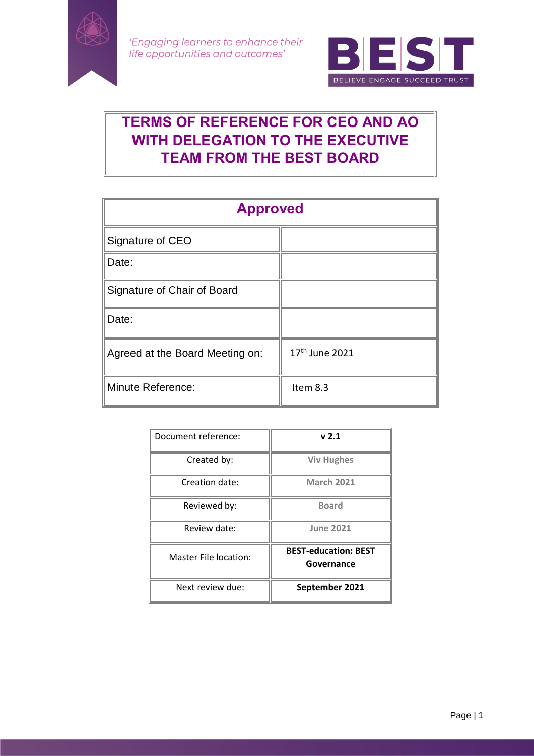

'Engaging learners to enhance their life opportunities and outcomes'



# **TERMS OF REFERENCE FOR CEO AND AO WITH DELEGATION TO THE EXECUTIVE TEAM FROM THE BEST BOARD**

| <b>Approved</b>                 |                            |
|---------------------------------|----------------------------|
| Signature of CEO                |                            |
| Date:                           |                            |
| Signature of Chair of Board     |                            |
| Date:                           |                            |
| Agreed at the Board Meeting on: | 17 <sup>th</sup> June 2021 |
| Minute Reference:               | Item 8.3                   |

| Document reference:          | v <sub>2.1</sub>                          |
|------------------------------|-------------------------------------------|
| Created by:                  | <b>Viv Hughes</b>                         |
| Creation date:               | <b>March 2021</b>                         |
| Reviewed by:                 | <b>Board</b>                              |
| Review date:                 | <b>June 2021</b>                          |
| <b>Master File location:</b> | <b>BEST-education: BEST</b><br>Governance |
| Next review due:             | September 2021                            |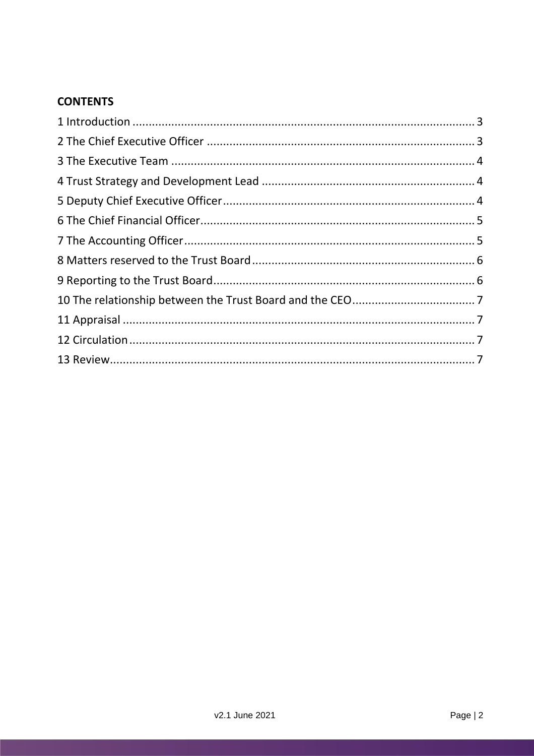# **CONTENTS**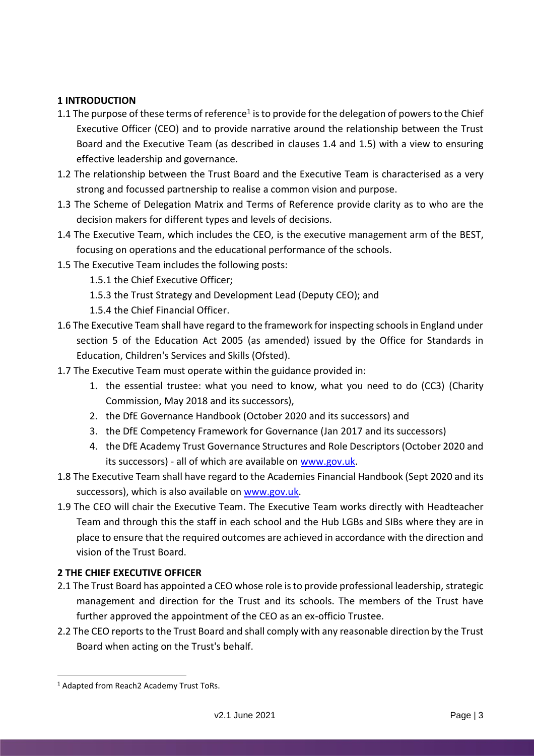## <span id="page-2-0"></span>**1 INTRODUCTION**

- 1.1 The purpose of these terms of reference<sup>1</sup> is to provide for the delegation of powers to the Chief Executive Officer (CEO) and to provide narrative around the relationship between the Trust Board and the Executive Team (as described in clauses 1.4 and 1.5) with a view to ensuring effective leadership and governance.
- 1.2 The relationship between the Trust Board and the Executive Team is characterised as a very strong and focussed partnership to realise a common vision and purpose.
- 1.3 The Scheme of Delegation Matrix and Terms of Reference provide clarity as to who are the decision makers for different types and levels of decisions.
- 1.4 The Executive Team, which includes the CEO, is the executive management arm of the BEST, focusing on operations and the educational performance of the schools.
- 1.5 The Executive Team includes the following posts:
	- 1.5.1 the Chief Executive Officer;
	- 1.5.3 the Trust Strategy and Development Lead (Deputy CEO); and
	- 1.5.4 the Chief Financial Officer.
- 1.6 The Executive Team shall have regard to the framework for inspecting schools in England under section 5 of the Education Act 2005 (as amended) issued by the Office for Standards in Education, Children's Services and Skills (Ofsted).
- 1.7 The Executive Team must operate within the guidance provided in:
	- 1. the essential trustee: what you need to know, what you need to do (CC3) (Charity Commission, May 2018 and its successors),
	- 2. the DfE Governance Handbook (October 2020 and its successors) and
	- 3. the DfE Competency Framework for Governance (Jan 2017 and its successors)
	- 4. the DfE Academy Trust Governance Structures and Role Descriptors (October 2020 and its successors) - all of which are available o[n www.gov.uk.](http://www.gov.uk/)
- 1.8 The Executive Team shall have regard to the Academies Financial Handbook (Sept 2020 and its successors), which is also available o[n www.gov.uk.](http://www.gov.uk/)
- 1.9 The CEO will chair the Executive Team. The Executive Team works directly with Headteacher Team and through this the staff in each school and the Hub LGBs and SIBs where they are in place to ensure that the required outcomes are achieved in accordance with the direction and vision of the Trust Board.

#### <span id="page-2-1"></span>**2 THE CHIEF EXECUTIVE OFFICER**

- 2.1 The Trust Board has appointed a CEO whose role is to provide professional leadership, strategic management and direction for the Trust and its schools. The members of the Trust have further approved the appointment of the CEO as an ex-officio Trustee.
- 2.2 The CEO reports to the Trust Board and shall comply with any reasonable direction by the Trust Board when acting on the Trust's behalf.

 $\overline{a}$ 

<sup>&</sup>lt;sup>1</sup> Adapted from Reach<sub>2</sub> Academy Trust ToRs.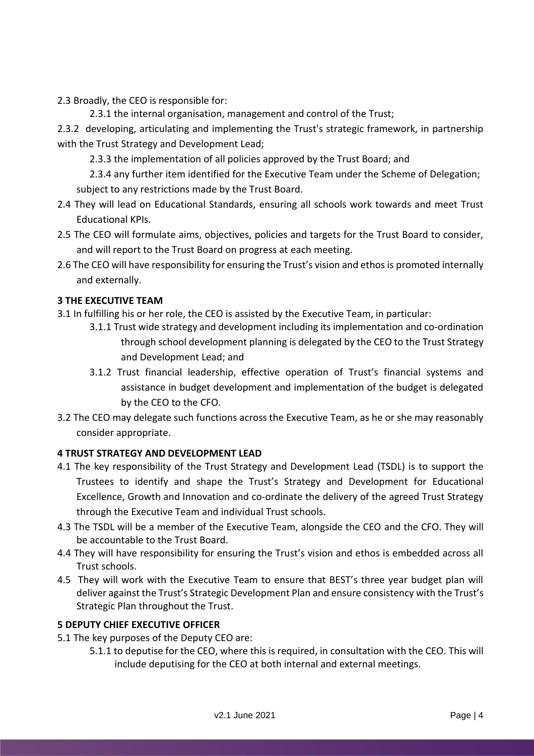2.3 Broadly, the CEO is responsible for:

2.3.1 the internal organisation, management and control of the Trust;

2.3.2 developing, articulating and implementing the Trust's strategic framework, in partnership with the Trust Strategy and Development Lead;

2.3.3 the implementation of all policies approved by the Trust Board; and

2.3.4 any further item identified for the Executive Team under the Scheme of Delegation; subject to any restrictions made by the Trust Board.

- 2.4 They will lead on Educational Standards, ensuring all schools work towards and meet Trust Educational KPIs.
- 2.5 The CEO will formulate aims, objectives, policies and targets for the Trust Board to consider, and will report to the Trust Board on progress at each meeting.
- 2.6 The CEO will have responsibility for ensuring the Trust's vision and ethos is promoted internally and externally.

# <span id="page-3-0"></span>**3 THE EXECUTIVE TEAM**

- 3.1 In fulfilling his or her role, the CEO is assisted by the Executive Team, in particular:
	- 3.1.1 Trust wide strategy and development including its implementation and co-ordination through school development planning is delegated by the CEO to the Trust Strategy and Development Lead; and
	- 3.1.2 Trust financial leadership, effective operation of Trust's financial systems and assistance in budget development and implementation of the budget is delegated by the CEO to the CFO.
- 3.2 The CEO may delegate such functions across the Executive Team, as he or she may reasonably consider appropriate.

# <span id="page-3-1"></span>**4 TRUST STRATEGY AND DEVELOPMENT LEAD**

- 4.1 The key responsibility of the Trust Strategy and Development Lead (TSDL) is to support the Trustees to identify and shape the Trust's Strategy and Development for Educational Excellence, Growth and Innovation and co-ordinate the delivery of the agreed Trust Strategy through the Executive Team and individual Trust schools.
- 4.3 The TSDL will be a member of the Executive Team, alongside the CEO and the CFO. They will be accountable to the Trust Board.
- 4.4 They will have responsibility for ensuring the Trust's vision and ethos is embedded across all Trust schools.
- 4.5 They will work with the Executive Team to ensure that BEST's three year budget plan will deliver against the Trust's Strategic Development Plan and ensure consistency with the Trust's Strategic Plan throughout the Trust.

# <span id="page-3-2"></span>**5 DEPUTY CHIEF EXECUTIVE OFFICER**

- 5.1 The key purposes of the Deputy CEO are:
	- 5.1.1 to deputise for the CEO, where this is required, in consultation with the CEO. This will include deputising for the CEO at both internal and external meetings.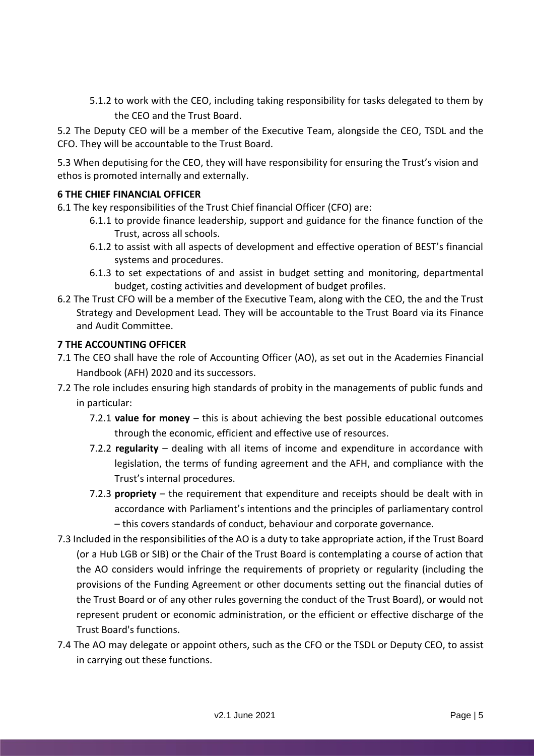5.1.2 to work with the CEO, including taking responsibility for tasks delegated to them by the CEO and the Trust Board.

5.2 The Deputy CEO will be a member of the Executive Team, alongside the CEO, TSDL and the CFO. They will be accountable to the Trust Board.

5.3 When deputising for the CEO, they will have responsibility for ensuring the Trust's vision and ethos is promoted internally and externally.

# <span id="page-4-0"></span>**6 THE CHIEF FINANCIAL OFFICER**

- 6.1 The key responsibilities of the Trust Chief financial Officer (CFO) are:
	- 6.1.1 to provide finance leadership, support and guidance for the finance function of the Trust, across all schools.
	- 6.1.2 to assist with all aspects of development and effective operation of BEST's financial systems and procedures.
	- 6.1.3 to set expectations of and assist in budget setting and monitoring, departmental budget, costing activities and development of budget profiles.
- 6.2 The Trust CFO will be a member of the Executive Team, along with the CEO, the and the Trust Strategy and Development Lead. They will be accountable to the Trust Board via its Finance and Audit Committee.

#### <span id="page-4-1"></span>**7 THE ACCOUNTING OFFICER**

- 7.1 The CEO shall have the role of Accounting Officer (AO), as set out in the Academies Financial Handbook (AFH) 2020 and its successors.
- 7.2 The role includes ensuring high standards of probity in the managements of public funds and in particular:
	- 7.2.1 **value for money**  this is about achieving the best possible educational outcomes through the economic, efficient and effective use of resources.
	- 7.2.2 **regularity**  dealing with all items of income and expenditure in accordance with legislation, the terms of funding agreement and the AFH, and compliance with the Trust's internal procedures.
	- 7.2.3 **propriety**  the requirement that expenditure and receipts should be dealt with in accordance with Parliament's intentions and the principles of parliamentary control – this covers standards of conduct, behaviour and corporate governance.
- 7.3 Included in the responsibilities of the AO is a duty to take appropriate action, if the Trust Board (or a Hub LGB or SIB) or the Chair of the Trust Board is contemplating a course of action that the AO considers would infringe the requirements of propriety or regularity (including the provisions of the Funding Agreement or other documents setting out the financial duties of the Trust Board or of any other rules governing the conduct of the Trust Board), or would not represent prudent or economic administration, or the efficient or effective discharge of the Trust Board's functions.
- 7.4 The AO may delegate or appoint others, such as the CFO or the TSDL or Deputy CEO, to assist in carrying out these functions.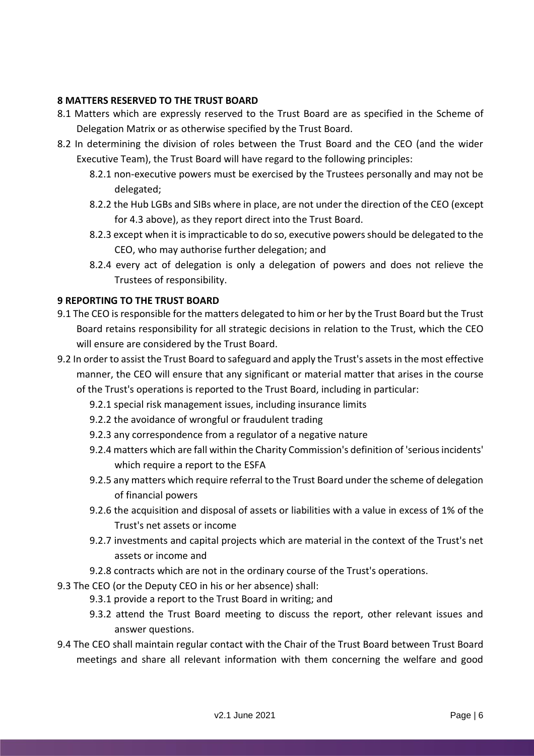#### <span id="page-5-0"></span>**8 MATTERS RESERVED TO THE TRUST BOARD**

- 8.1 Matters which are expressly reserved to the Trust Board are as specified in the Scheme of Delegation Matrix or as otherwise specified by the Trust Board.
- 8.2 In determining the division of roles between the Trust Board and the CEO (and the wider Executive Team), the Trust Board will have regard to the following principles:
	- 8.2.1 non-executive powers must be exercised by the Trustees personally and may not be delegated;
	- 8.2.2 the Hub LGBs and SIBs where in place, are not under the direction of the CEO (except for 4.3 above), as they report direct into the Trust Board.
	- 8.2.3 except when it is impracticable to do so, executive powers should be delegated to the CEO, who may authorise further delegation; and
	- 8.2.4 every act of delegation is only a delegation of powers and does not relieve the Trustees of responsibility.

#### <span id="page-5-1"></span>**9 REPORTING TO THE TRUST BOARD**

- 9.1 The CEO is responsible for the matters delegated to him or her by the Trust Board but the Trust Board retains responsibility for all strategic decisions in relation to the Trust, which the CEO will ensure are considered by the Trust Board.
- 9.2 In order to assist the Trust Board to safeguard and apply the Trust's assets in the most effective manner, the CEO will ensure that any significant or material matter that arises in the course of the Trust's operations is reported to the Trust Board, including in particular:
	- 9.2.1 special risk management issues, including insurance limits
	- 9.2.2 the avoidance of wrongful or fraudulent trading
	- 9.2.3 any correspondence from a regulator of a negative nature
	- 9.2.4 matters which are fall within the Charity Commission's definition of 'serious incidents' which require a report to the ESFA
	- 9.2.5 any matters which require referral to the Trust Board under the scheme of delegation of financial powers
	- 9.2.6 the acquisition and disposal of assets or liabilities with a value in excess of 1% of the Trust's net assets or income
	- 9.2.7 investments and capital projects which are material in the context of the Trust's net assets or income and
	- 9.2.8 contracts which are not in the ordinary course of the Trust's operations.
- 9.3 The CEO (or the Deputy CEO in his or her absence) shall:
	- 9.3.1 provide a report to the Trust Board in writing; and
	- 9.3.2 attend the Trust Board meeting to discuss the report, other relevant issues and answer questions.
- 9.4 The CEO shall maintain regular contact with the Chair of the Trust Board between Trust Board meetings and share all relevant information with them concerning the welfare and good